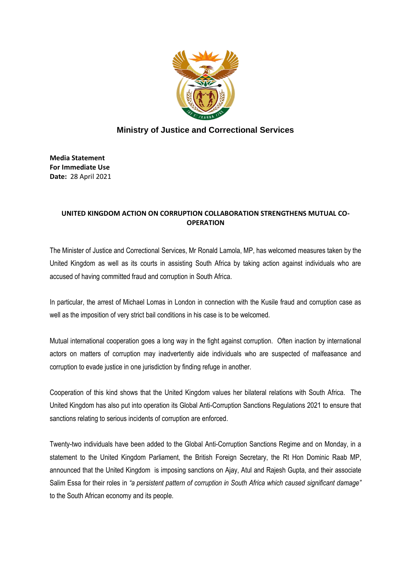

## **Ministry of Justice and Correctional Services**

**Media Statement For Immediate Use Date:** 28 April 2021

## **UNITED KINGDOM ACTION ON CORRUPTION COLLABORATION STRENGTHENS MUTUAL CO-OPERATION**

The Minister of Justice and Correctional Services, Mr Ronald Lamola, MP, has welcomed measures taken by the United Kingdom as well as its courts in assisting South Africa by taking action against individuals who are accused of having committed fraud and corruption in South Africa.

In particular, the arrest of Michael Lomas in London in connection with the Kusile fraud and corruption case as well as the imposition of very strict bail conditions in his case is to be welcomed.

Mutual international cooperation goes a long way in the fight against corruption. Often inaction by international actors on matters of corruption may inadvertently aide individuals who are suspected of malfeasance and corruption to evade justice in one jurisdiction by finding refuge in another.

Cooperation of this kind shows that the United Kingdom values her bilateral relations with South Africa. The United Kingdom has also put into operation its Global Anti-Corruption Sanctions Regulations 2021 to ensure that sanctions relating to serious incidents of corruption are enforced.

Twenty-two individuals have been added to the Global Anti-Corruption Sanctions Regime and on Monday, in a statement to the United Kingdom Parliament, the British Foreign Secretary, the Rt Hon Dominic Raab MP, announced that the United Kingdom is imposing sanctions on Ajay, Atul and Rajesh Gupta, and their associate Salim Essa for their roles in *"a persistent pattern of corruption in South Africa which caused significant damage"* to the South African economy and its people.